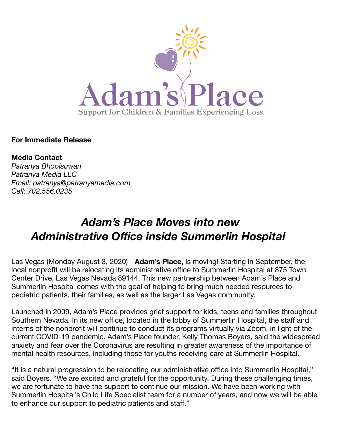

**For Immediate Release** 

**Media Contact**  *Patranya Bhoolsuwan Patranya Media LLC Email: [patranya@patranyamedia.com](mailto:patranya@patranyamedia.co) Cell: 702.556.0235*

## *Adam's Place Moves into new Administrative Office inside Summerlin Hospital*

Las Vegas (Monday August 3, 2020) - **Adam's Place,** is moving! Starting in September, the local nonprofit will be relocating its administrative office to Summerlin Hospital at 875 Town Center Drive, Las Vegas Nevada 89144. This new partnership between Adam's Place and Summerlin Hospital comes with the goal of helping to bring much needed resources to pediatric patients, their families, as well as the larger Las Vegas community.

Launched in 2009, Adam's Place provides grief support for kids, teens and families throughout Southern Nevada. In its new office, located in the lobby of Summerlin Hospital, the staff and interns of the nonprofit will continue to conduct its programs virtually via Zoom, in light of the current COVID-19 pandemic. Adam's Place founder, Kelly Thomas Boyers, said the widespread anxiety and fear over the Coronavirus are resulting in greater awareness of the importance of mental health resources, including those for youths receiving care at Summerlin Hospital.

"It is a natural progression to be relocating our administrative office into Summerlin Hospital," said Boyers. "We are excited and grateful for the opportunity. During these challenging times, we are fortunate to have the support to continue our mission. We have been working with Summerlin Hospital's Child Life Specialist team for a number of years, and now we will be able to enhance our support to pediatric patients and staff."